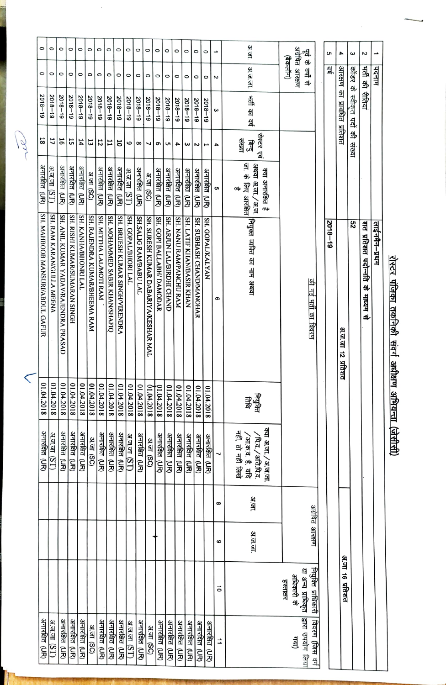|  | $\circ$                         | O                         | $\circ$                              | $\circ$                       | O                    | O                             | O                       | $\circ$                        | 0                                | O                   | O                     | O                                    | O                         | $\circ$                    | $\circ$                | $\circ$                   | O                        | O                |                      | अ.जा.                                      |           |                                                                                | के भू              |                     | S           | 4                          | ς                              | Z                                |               |  |  |
|--|---------------------------------|---------------------------|--------------------------------------|-------------------------------|----------------------|-------------------------------|-------------------------|--------------------------------|----------------------------------|---------------------|-----------------------|--------------------------------------|---------------------------|----------------------------|------------------------|---------------------------|--------------------------|------------------|----------------------|--------------------------------------------|-----------|--------------------------------------------------------------------------------|--------------------|---------------------|-------------|----------------------------|--------------------------------|----------------------------------|---------------|--|--|
|  | O                               | O                         | $\circ$                              | $\circ$                       | $\circ$              | O                             | O                       | $\circ$                        | $\circ$                          | $\circ$             | $\circ$               | $\circ$                              | O                         | O                          | $\circ$                | O                         | O                        | O                | Ν                    | अ.ज.जा.                                    |           | अग्रेवित आरक्षण<br>(बैकलॉग)<br>ं वर्षों से                                     |                    |                     | ョ           |                            |                                | ग्ती की रीतियां                  | पदनाम         |  |  |
|  | $5018 - 19$                     | $2018 - 19$               | $2018 - 19$                          | $61 - 8102$                   | $2018 - 19$          | $5018 - 18$                   | $2018 - 19$             | $2018 - 19$                    | $2018 - 19$                      | $2018 - 19$         | $2018 - 19$           | $5018 - 18$                          | $2018 - 19$               | $5018 - 18$                | $2018 - 19$            | $5018 - 10$               | $5018 - 13$              | $2018 - 19$      | ω                    | गती का वर्ष                                |           |                                                                                |                    |                     |             | आरक्षण का प्रावधित प्रतिशत | कॉडर के स्वीकृत पदों की संख्या |                                  |               |  |  |
|  | 18                              | 17                        | 16                                   | 57                            | 14                   | 13                            | 12                      | 11                             | 5                                | 6                   | $\infty$              | ┙                                    | G                         | S                          | 4                      | ω                         | 2                        | I                | 4                    | रोस्टर एवं<br>हि.<br>इ.                    |           |                                                                                |                    |                     |             |                            |                                |                                  |               |  |  |
|  | अनारोक्षेत (UR)                 | अ.ज.जा<br>(ST)            | अनारक्षित (UR)                       | अनारक्षित (UR)                | अनारक्षित (UR)       | 31. जा (SC)                   | अनारक्षित <b>(UR)</b>   | अनारक्षित (UR)                 | अनारक्षित (UR)                   | <u>अजजा (ST)</u>    | अनारक्षित (UR)        | अ.जा (SC)                            | अनारक्षित (UR)            | अनारहित<br><u>ទិ</u>       | अनारक्षित (UR)         | अनारक्षित<br>ริ์<br>ริ    | अनारक्षित<br><u>ទិ</u>   | अनारहित<br>ã     | ပာ                   | क्या अनारक्षित है<br>σ⊯                    |           |                                                                                |                    |                     |             |                            |                                |                                  |               |  |  |
|  | SH. MAHBOOB MANSURI/ABDUL GAFUR | SH. RAM KARAN/GULLA MEENA | SH. ANIL KUMAR YADAV/RAJENDRA PRASAD | SH. RISHI KUMAR/SUMARAN SINGH | SH. KANHA/BHONRI LAL | SH. RAJENDRA KUMAR/BHEEMA RAM | SH. MITTHA LAL/MOTI RAM | SH. MOHAMMED SABIR KHAN/SHAFIQ | SH. BRIJESH KUMAR SINGH/VIRENDRA | SH. GOPAL/BHORI LAL | SH.SALIG RAM/BABU LAL | SH. SURESH KUMAR DABARIYA/KESHAR MAL | SH. GOPI BALLABH/ DAMODAR | SH. ARJUN LAL/BIRDHI CHAND | SH. NANU RAMPANCHU RAM | SH. LATIF KHAN/BASIR KHAN | SH. SUBHASH CHANDMANOHAR | SH. GOPAL/KALYAN | თ                    | जा. के लिए आरक्षित  <br>जा. के लिए आरक्षित |           |                                                                                | की गई भरी का विवरण |                     | $5018 - 18$ | अ.ज.जा १२ प्रतिशत          | S2                             | शत प्रतिशत पदोन्नति के माध्यम से | लाईनमैन–प्रथम |  |  |
|  | 01.04.2018                      | 8107'018                  | 01.04.2018                           | 01.04.2018                    | 8102'070             | 01.04.2018                    | 01.04.2018              | 8102'010                       | 01.04.2018                       | 01.04.2018          | 01.04.2018            | 61.04.2<br>2018                      | 01.04.2018                | 01.04.2018                 | 01.04.<br>2018         | 01.04.<br>2018            | 01.04.2018               | 01.04.<br>2018   |                      | 雷雷                                         |           |                                                                                |                    |                     |             |                            |                                |                                  |               |  |  |
|  | अनाराेक्षत (UR)                 | अ.ज.जा (ST)               | अनारोक्षेत <b>(UR</b> )              |                               |                      | अनारोबेत (UR)                 | अनारक्षित (UR)          | 3. जा (SC)                     | अनारक्षित (UR)                   | अनारक्षित (UR)      | अनाराक्षेत (UR)       | <u>अजजा (ST)</u>                     | अनाराक्षेत (UR)           | 3. जा (SC)                 | अनारोबीत (UR)          | अनाराक्षेत (UR)           | अनारक्षित (UR)           | अनारक्षित (UR)   | अनाराक्षेत (UR)      | अनारक्षित (UR)                             | ┙         | क्या अ.ज./अ.ज.जा<br>नहीं, तो नहीं लिखे<br>/पि.व. / अति.पि.व.<br>'आक.व. है, यदि |                    |                     |             |                            |                                |                                  |               |  |  |
|  |                                 |                           |                                      |                               |                      |                               |                         |                                |                                  |                     |                       |                                      |                           |                            |                        |                           |                          |                  | $\infty$             | अ.जा.                                      |           |                                                                                |                    |                     |             |                            |                                |                                  |               |  |  |
|  |                                 |                           |                                      |                               |                      |                               |                         |                                |                                  |                     |                       |                                      |                           |                            |                        |                           |                          |                  | ဖ                    | अज.जा.                                     |           |                                                                                |                    | अग्रेवित आरक्षण     |             |                            |                                |                                  |               |  |  |
|  |                                 |                           |                                      |                               |                      |                               |                         |                                |                                  |                     |                       |                                      |                           |                            |                        |                           |                          |                  | ื่อ                  |                                            | हस्ताक्षर | अधिकारी के                                                                     | या अन्य प्राधिकृत  | नियुक्ति प्राधिकारी |             | अ.जा १६ प्रतिशत            |                                |                                  |               |  |  |
|  | अनाराक्षेत (UR)                 | अज.जा (ST)                | अनाराक्षेत (UR)                      | अनारक्षित (UR)                | अनारक्षित (UR)       | 37.07 (SC)                    | अनाराक्षेत (UR)         | अनारोक्षेत (UR)                | अनारक्षित (UR)                   | अज.जा (ST)          | अनारहित (UR)          | 37.57 (SC)                           | अनाराक्षेत (UR)           | अनारसित (UR)               | अनारक्षित (UR)         | अनारहित (UR)              | अनाराक्षेत (UR)          | अनारक्षित (UR)   | $\overrightarrow{=}$ |                                            |           | गया)                                                                           | द्वारा उपयोग लिया  | विवरण (जिस वर्ग     |             |                            |                                |                                  |               |  |  |

<u>रोस्टर पंजिका तकनिकी संवर्ग अधीक्षण अभियन्ता (जेसीसी)</u>

18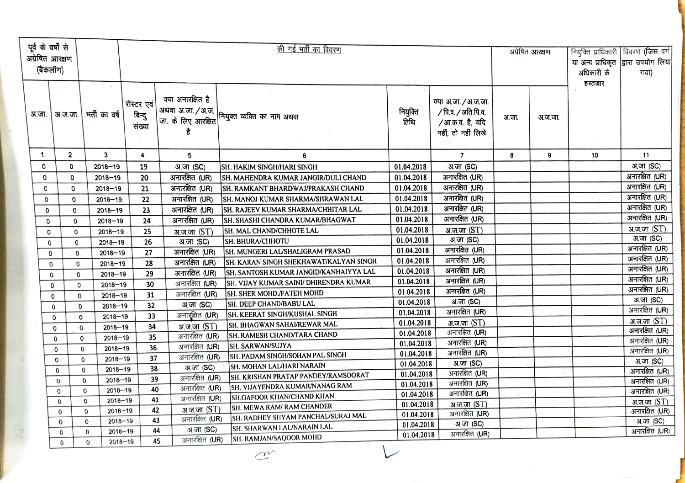| पूर्व के वर्षों से<br>अग्रेषित आरक्षण<br>(बैकलॉग) |             |              |                            |                                |                                              | अग्रेषित आरक्षण                                 | अधिकारी के               | नियुक्ति प्राधिकारी   विवरण (जिस वर्ग<br>या अन्य प्राधिकृत द्वारा उपयोग लिया<br>गया) |       |         |           |                                     |
|---------------------------------------------------|-------------|--------------|----------------------------|--------------------------------|----------------------------------------------|-------------------------------------------------|--------------------------|--------------------------------------------------------------------------------------|-------|---------|-----------|-------------------------------------|
| अ.जा.                                             |             | अ.ज.जा.      | भर्ती का वर्ष              | रोस्टर एवं<br>बिन्दु<br>संख्या | क्या अनारक्षित है<br>अथवा अ.जा. / अ.ज.<br>है | <br> जा. के लिए आरक्षित <br> जा. के लिए आरक्षित | नियुक्ति<br>तिथि         | क्या अ.जा. / अ.ज.जा.<br>/ पि.व. / अति.पि.व.<br>/आ.क.व. है, यदि<br>नहीं, तो नहीं लिखे | अ.जा. | अ.ज.जा. | हस्ताक्षर |                                     |
| 1                                                 |             | $\mathbf{2}$ | 3                          | 4                              | 5                                            | 6                                               |                          | $\overline{\phantom{a}}$                                                             | 8     | 9       | 10        | 11                                  |
|                                                   | 0           | 0            | $2018 - 19$                | 19                             | अ.जा (SC)                                    | <b>SH. HAKIM SINGH/HARI SINGH</b>               | 01.04.2018               | अ.जा (SC)                                                                            |       |         |           | अ.जा (SC)                           |
|                                                   | 0           | 0            | $2018 - 19$                | 20                             | अनारक्षित (UR)                               | SH. MAHENDRA KUMAR JANGIR/DULI CHAND            | 01.04.2018               | अनारक्षित (UR)                                                                       |       |         |           | अनारक्षित (UR)                      |
|                                                   | 0           | 0            | $2018 - 19$                | 21                             | अनारक्षित (UR)                               | ISH. RAMKANT BHARDWAJ/PRAKASH CHAND             | 01.04.2018               | अनारक्षित (UR)                                                                       |       |         |           | अनारक्षित (UR)                      |
|                                                   | 0           | 0            | $2018 - 19$                | 22                             | अनारक्षित (UR)                               | SH. MANOJ KUMAR SHARMA/SHRAWAN LAL              | 01.04.2018               | अनारक्षित (UR)                                                                       |       |         |           | अनारक्षित (UR)                      |
|                                                   | 0           | 0            | $2018 - 19$                | 23                             | अनारक्षित (UR)                               | SH. RAJEEV KUMAR SHARMA/CHHITAR LAL             | 01.04.2018               | अनारक्षित (UR)                                                                       |       |         |           | अनारक्षित (UR)                      |
|                                                   | 0           | 0            | $2018 - 19$                | 24                             | अनारक्षित (UR)                               | SH. SHASHI CHANDRA KUMAR/BHAGWAT                | 01.04.2018               | अनारक्षित (UR)                                                                       |       |         |           | अनारक्षित (UR)                      |
|                                                   | 0           | 0            | $2018 - 19$                | 25                             | अ.ज.जा (ST)                                  | SH. MAL CHAND/CHHOTE LAL                        | 01.04.2018               | अ.ज.जा (ST)                                                                          |       |         |           | अ.ज.जा (ST)                         |
|                                                   | $\mathbf 0$ | 0            | $2018 - 19$                | 26                             | अ.जा (SC)                                    | <b>SH. BHURA/CHHOTU</b>                         | 01.04.2018               | अ.जा (SC)                                                                            |       |         |           | अ.जा (SC)                           |
|                                                   | 0           | 0            | $2018 - 19$                | 27                             | अनारक्षित (UR)                               | SH. MUNGERI LAL/SHALIGRAM PRASAD                | 01.04.2018               | अनारक्षित (UR)                                                                       |       |         |           | अनारक्षित (UR)                      |
|                                                   | 0           | 0            | $2018 - 19$                | 28                             | अनारक्षित (UR)                               | SH. KARAN SINGH SHEKHAWAT/KALYAN SINGH          | 01.04.2018               | अनारक्षित (UR)                                                                       |       |         |           | अनारक्षित (UR)                      |
|                                                   | 0           | 0            | $2018 - 19$                | 29                             | अनारक्षित (UR)                               | SH. SANTOSH KUMAR JANGID/KANHAIYYA LAL          | 01.04.2018               | अनारक्षित (UR)                                                                       |       |         |           | अनारक्षित (UR)                      |
|                                                   | 0           | 0            | $2018 - 19$                | 30                             | अनारक्षित (UR)                               | SH. VIJAY KUMAR SAINI/ DHIRENDRA KUMAR          | 01.04.2018               | अनारक्षित (UR)                                                                       |       |         |           | अनारक्षित (UR)                      |
|                                                   | 0           | 0            | $2018 - 19$                | 31                             | अनारक्षित (UR)                               | SH. SHER MOHD. FATEH MOHD                       | 01.04.2018               | अनारक्षित (UR)                                                                       |       |         |           | अनारक्षित (UR)                      |
|                                                   | 0           | 0            | $2018 - 19$                | 32                             | अ.जा (SC)                                    | SH. DEEP CHAND/BABU LAL                         | 01.04.2018               | अ.जा (SC)                                                                            |       |         |           | <b>31.जा (SC)</b><br>अनारक्षित (UR) |
|                                                   | 0           | 0            | $2018 - 19$                | 33                             | अनार्खित (UR)                                | SH. KEERAT SINGH/KUSHAL SINGH                   | 01.04.2018               | अनारक्षित (UR)                                                                       |       |         |           |                                     |
|                                                   | 0           | 0            | $2018 - 19$                | 34                             | अ.ज.जा (ST)                                  | SH. BHAGWAN SAHAI/REWAR MAL                     | 01.04.2018               | अ.ज.जा (ST)                                                                          |       |         |           | अ.ज.जा (ST)<br>अनारक्षित (UR)       |
|                                                   | 0           | 0            | $2018 - 19$                | 35                             | अनारक्षित (UR)                               | SH. RAMESH CHAND/TARA CHAND                     | 01.04.2018               | अनारक्षित (UR)                                                                       |       |         |           | अनारक्षित (UR)                      |
|                                                   | $^{\circ}$  | 0            | $2018 - 19$                | 36                             | अनारक्षित (UR)                               | SH. SARWAN/SUJYA                                | 01.04.2018               | अनारक्षित (UR)                                                                       |       |         |           | अनारक्षित (UR)                      |
|                                                   | 0           | $\Omega$     | $2018 - 19$                | 37                             | अनारक्षित (UR)                               | SH. PADAM SINGH/SOHAN PAL SINGH                 | 01.04.2018               | अनारक्षित (UR)                                                                       |       |         |           | अ.जा (SC)                           |
|                                                   | 0           | 0            | $2018 - 19$                | 38                             | अ.जा (SC)                                    | SH. MOHAN LAL/HARI NARAIN                       | 01.04.2018               | अ.जा (SC)<br>अनारक्षित (UR)                                                          |       |         |           | अनारक्षित (UR)                      |
|                                                   | 0           | $\bf{0}$     | $2018 - 19$                | 39                             | अनारक्षित (UR)                               | SH. KRISHAN PRATAP PANDEY/RAMSOORAT             | 01.04.2018<br>01.04.2018 | अनारक्षित (UR)                                                                       |       |         |           | अनारक्षित (UR)                      |
|                                                   | 0           | 0            | $2018 - 19$                | 40                             | अनारक्षित (UR)                               | SH. VIJAYENDRA KUMAR/NANAG RAM                  | 01.04.2018               | अनारक्षित (UR)                                                                       |       |         |           | अनारक्षित (UR)                      |
|                                                   | 0           | $\mathbf 0$  | $2018 - 19$                | 41                             | अनारक्षित (UR)                               | SH.GAFOOR KHAN/CHAND KHAN                       | 01.04.2018               | अ.ज.जा (ST)                                                                          |       |         |           | अ.ज.जा $(ST)$                       |
|                                                   | 0           | $\Omega$     | $2018 - 19$                | 42                             | अ.ज.जा (ST)                                  | SH. MEWA RAM/ RAM CHANDER                       | 01.04.2018               | अनारक्षित (UR)                                                                       |       |         |           | अनारक्षित (UR)                      |
|                                                   | 0           | 0            | $2018 - 19$                | 43                             | अनारक्षित (UR)                               | SH. RADHEY SHYAM PANCHAL/SURAJ MAL              | 01.04.2018               | <b>31.जा (SC)</b>                                                                    |       |         |           | अ.जा (SC)                           |
|                                                   |             | 0            | $2018 - 19$<br>0           | 44                             | अ.जा (SC)                                    | SH. SHARWAN LAL/NARAIN LAL                      | 01.04.2018               | अनारक्षित (UR)                                                                       |       |         |           | अनारक्षित (UR)                      |
|                                                   |             | $\mathbf 0$  | $2018 - 19$<br>$\mathbf 0$ | 45                             | अनारक्षित (UR)                               | <b>SH. RAMJAN/SAQOOR MOHD</b>                   |                          |                                                                                      |       |         |           |                                     |

 $\mathbb{C}^{\mathbb{V}}$